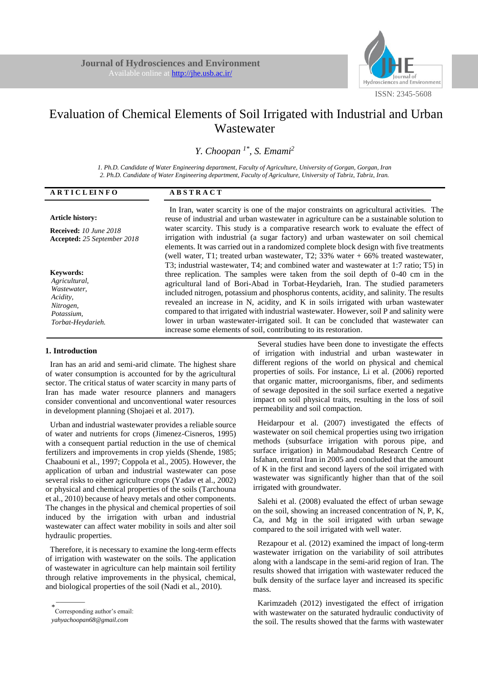

# Evaluation of Chemical Elements of Soil Irrigated with Industrial and Urban Wastewater

*Y. Choopan 1\*, S. Emami<sup>2</sup>*

*1. Ph.D. Candidate of Water Engineering department, Faculty of Agriculture, University of Gorgan, Gorgan, Iran 2. Ph.D. Candidate of Water Engineering department, Faculty of Agriculture, University of Tabriz, Tabriz, Iran.*

| <b>ARTICLEINFO</b>                                                                                           | <b>ABSTRACT</b>                                                                                                                                                                                                                                                                                                                                                                                                                                                                                                                                                                                                                                                                                          |
|--------------------------------------------------------------------------------------------------------------|----------------------------------------------------------------------------------------------------------------------------------------------------------------------------------------------------------------------------------------------------------------------------------------------------------------------------------------------------------------------------------------------------------------------------------------------------------------------------------------------------------------------------------------------------------------------------------------------------------------------------------------------------------------------------------------------------------|
| <b>Article history:</b>                                                                                      | In Iran, water scarcity is one of the major constraints on agricultural activities. The<br>reuse of industrial and urban was tewater in agriculture can be a sustainable solution to                                                                                                                                                                                                                                                                                                                                                                                                                                                                                                                     |
| <b>Received:</b> 10 June 2018<br>Accepted: 25 September 2018                                                 | water scarcity. This study is a comparative research work to evaluate the effect of<br>irrigation with industrial (a sugar factory) and urban wastewater on soil chemical<br>elements. It was carried out in a randomized complete block design with five treatments<br>(well water, T1; treated urban wastewater, T2; $33\%$ water $+66\%$ treated wastewater,                                                                                                                                                                                                                                                                                                                                          |
| <b>Keywords:</b><br>Agricultural,<br>Wastewater,<br>Acidity,<br>Nitrogen,<br>Potassium,<br>Torbat-Heydarieh. | T3; industrial was tewater, T4; and combined water and was tewater at 1:7 ratio; T5) in<br>three replication. The samples were taken from the soil depth of $0-40$ cm in the<br>agricultural land of Bori-Abad in Torbat-Heydarieh, Iran. The studied parameters<br>included nitrogen, potassium and phosphorus contents, acidity, and salinity. The results<br>revealed an increase in N, acidity, and K in soils irrigated with urban wastewater<br>compared to that irrigated with industrial was tewater. However, soil P and salinity were<br>lower in urban wastewater-irrigated soil. It can be concluded that wastewater can<br>increase some elements of soil, contributing to its restoration. |

## **1. Introduction**

Iran has an arid and semi-arid climate. The highest share of water consumption is accounted for by the agricultural sector. The critical status of water scarcity in many parts of Iran has made water resource planners and managers consider conventional and unconventional water resources in development planning (Shojaei et al. 2017).

Urban and industrial wastewater provides a reliable source of water and nutrients for crops (Jimenez-Cisneros, 1995) with a consequent partial reduction in the use of chemical fertilizers and improvements in crop yields (Shende, 1985; Chaabouni et al., 1997; Coppola et al., 2005). However, the application of urban and industrial wastewater can pose several risks to either agriculture crops (Yadav et al., 2002) or physical and chemical properties of the soils (Tarchouna et al., 2010) because of heavy metals and other components. The changes in the physical and chemical properties of soil induced by the irrigation with urban and industrial wastewater can affect water mobility in soils and alter soil hydraulic properties.

Therefore, it is necessary to examine the long-term effects of irrigation with wastewater on the soils. The application of wastewater in agriculture can help maintain soil fertility through relative improvements in the physical, chemical, and biological properties of the soil (Nadi et al., 2010).

\_\_\_\_\_\_\_\_

Several studies have been done to investigate the effects of irrigation with industrial and urban wastewater in different regions of the world on physical and chemical properties of soils. For instance, Li et al. (2006) reported that organic matter, microorganisms, fiber, and sediments of sewage deposited in the soil surface exerted a negative impact on soil physical traits, resulting in the loss of soil permeability and soil compaction.

Heidarpour et al. (2007) investigated the effects of wastewater on soil chemical properties using two irrigation methods (subsurface irrigation with porous pipe, and surface irrigation) in Mahmoudabad Research Centre of Isfahan, central Iran in 2005 and concluded that the amount of K in the first and second layers of the soil irrigated with wastewater was significantly higher than that of the soil irrigated with groundwater.

Salehi et al. (2008) evaluated the effect of urban sewage on the soil, showing an increased concentration of N, P, K, Ca, and Mg in the soil irrigated with urban sewage compared to the soil irrigated with well water.

Rezapour et al. (2012) examined the impact of long-term wastewater irrigation on the variability of soil attributes along with a landscape in the semi-arid region of Iran. The results showed that irrigation with wastewater reduced the bulk density of the surface layer and increased its specific mass.

Karimzadeh (2012) investigated the effect of irrigation with wastewater on the saturated hydraulic conductivity of the soil. The results showed that the farms with wastewater

<sup>\*</sup> Corresponding author's email:

*yahyachoopan68@gmail.com*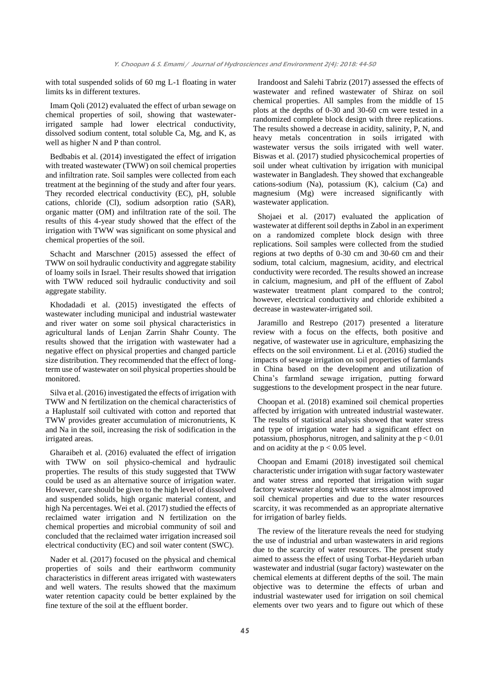with total suspended solids of 60 mg L-1 floating in water limits ks in different textures.

Imam Qoli (2012) evaluated the effect of urban sewage on chemical properties of soil, showing that wastewaterirrigated sample had lower electrical conductivity, dissolved sodium content, total soluble Ca, Mg, and K, as well as higher N and P than control.

Bedbabis et al. (2014) investigated the effect of irrigation with treated wastewater (TWW) on soil chemical properties and infiltration rate. Soil samples were collected from each treatment at the beginning of the study and after four years. They recorded electrical conductivity (EC), pH, soluble cations, chloride (Cl), sodium adsorption ratio (SAR), organic matter (OM) and infiltration rate of the soil. The results of this 4-year study showed that the effect of the irrigation with TWW was significant on some physical and chemical properties of the soil.

Schacht and Marschner (2015) assessed the effect of TWW on soil hydraulic conductivity and aggregate stability of loamy soils in Israel. Their results showed that irrigation with TWW reduced soil hydraulic conductivity and soil aggregate stability.

Khodadadi et al. (2015) investigated the effects of wastewater including municipal and industrial wastewater and river water on some soil physical characteristics in agricultural lands of Lenjan Zarrin Shahr County. The results showed that the irrigation with wastewater had a negative effect on physical properties and changed particle size distribution. They recommended that the effect of longterm use of wastewater on soil physical properties should be monitored.

Silva et al. (2016) investigated the effects of irrigation with TWW and N fertilization on the chemical characteristics of a Haplustalf soil cultivated with cotton and reported that TWW provides greater accumulation of micronutrients, K and Na in the soil, increasing the risk of sodification in the irrigated areas.

Gharaibeh et al. (2016) evaluated the effect of irrigation with TWW on soil physico-chemical and hydraulic properties. The results of this study suggested that TWW could be used as an alternative source of irrigation water. However, care should be given to the high level of dissolved and suspended solids, high organic material content, and high Na percentages. Wei et al. (2017) studied the effects of reclaimed water irrigation and N fertilization on the chemical properties and microbial community of soil and concluded that the reclaimed water irrigation increased soil electrical conductivity (EC) and soil water content (SWC).

Nader et al. (2017) focused on the physical and chemical properties of soils and their earthworm community characteristics in different areas irrigated with wastewaters and well waters. The results showed that the maximum water retention capacity could be better explained by the fine texture of the soil at the effluent border.

Irandoost and Salehi Tabriz (2017) assessed the effects of wastewater and refined wastewater of Shiraz on soil chemical properties. All samples from the middle of 15 plots at the depths of 0-30 and 30-60 cm were tested in a randomized complete block design with three replications. The results showed a decrease in acidity, salinity, P, N, and heavy metals concentration in soils irrigated with wastewater versus the soils irrigated with well water. Biswas et al. (2017) studied physicochemical properties of soil under wheat cultivation by irrigation with municipal wastewater in Bangladesh. They showed that exchangeable cations-sodium (Na), potassium (K), calcium (Ca) and magnesium (Mg) were increased significantly with wastewater application.

Shojaei et al. (2017) evaluated the application of wastewater at different soil depths in Zabol in an experiment on a randomized complete block design with three replications. Soil samples were collected from the studied regions at two depths of 0-30 cm and 30-60 cm and their sodium, total calcium, magnesium, acidity, and electrical conductivity were recorded. The results showed an increase in calcium, magnesium, and pH of the effluent of Zabol wastewater treatment plant compared to the control; however, electrical conductivity and chloride exhibited a decrease in wastewater-irrigated soil.

Jaramillo and Restrepo (2017) presented a literature review with a focus on the effects, both positive and negative, of wastewater use in agriculture, emphasizing the effects on the soil environment. Li et al. (2016) studied the impacts of sewage irrigation on soil properties of farmlands in China based on the development and utilization of China's farmland sewage irrigation, putting forward suggestions to the development prospect in the near future.

Choopan et al. (2018) examined soil chemical properties affected by irrigation with untreated industrial wastewater. The results of statistical analysis showed that water stress and type of irrigation water had a significant effect on potassium, phosphorus, nitrogen, and salinity at the  $p < 0.01$ and on acidity at the  $p < 0.05$  level.

Choopan and Emami (2018) investigated soil chemical characteristic under irrigation with sugar factory wastewater and water stress and reported that irrigation with sugar factory wastewater along with water stress almost improved soil chemical properties and due to the water resources scarcity, it was recommended as an appropriate alternative for irrigation of barley fields.

The review of the literature reveals the need for studying the use of industrial and urban wastewaters in arid regions due to the scarcity of water resources. The present study aimed to assess the effect of using Torbat-Heydarieh urban wastewater and industrial (sugar factory) wastewater on the chemical elements at different depths of the soil. The main objective was to determine the effects of urban and industrial wastewater used for irrigation on soil chemical elements over two years and to figure out which of these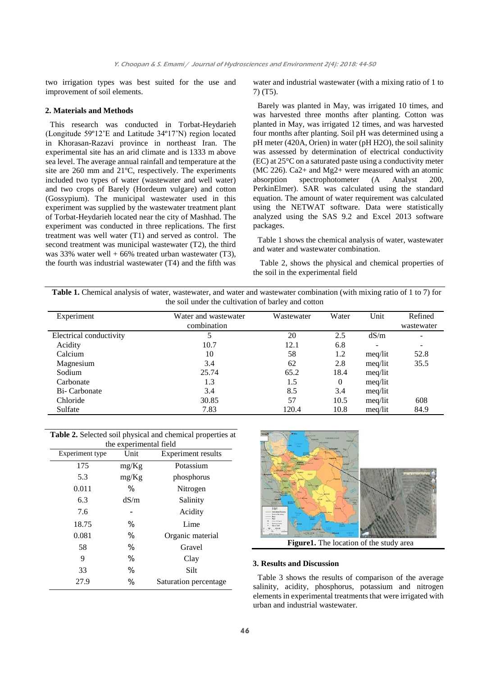two irrigation types was best suited for the use and improvement of soil elements.

### **2. Materials and Methods**

This research was conducted in Torbat-Heydarieh (Longitude 59º12'E and Latitude 34º17'N) region located in Khorasan-Razavi province in northeast Iran. The experimental site has an arid climate and is 1333 m above sea level. The average annual rainfall and temperature at the site are 260 mm and 21ºC, respectively. The experiments included two types of water (wastewater and well water) and two crops of Barely (Hordeum vulgare) and cotton (Gossypium). The municipal wastewater used in this experiment was supplied by the wastewater treatment plant of Torbat-Heydarieh located near the city of Mashhad. The experiment was conducted in three replications. The first treatment was well water (T1) and served as control. The second treatment was municipal wastewater (T2), the third was 33% water well  $+ 66\%$  treated urban wastewater (T3), the fourth was industrial wastewater (T4) and the fifth was

water and industrial wastewater (with a mixing ratio of 1 to 7) (T5).

Barely was planted in May, was irrigated 10 times, and was harvested three months after planting. Cotton was planted in May, was irrigated 12 times, and was harvested four months after planting. Soil pH was determined using a pH meter (420A, Orien) in water (pH H2O), the soil salinity was assessed by determination of electrical conductivity (EC) at 25°C on a saturated paste using a conductivity meter (MC 226). Ca2+ and Mg2+ were measured with an atomic absorption spectrophotometer (A Analyst 200, PerkinElmer). SAR was calculated using the standard equation. The amount of water requirement was calculated using the NETWAT software. Data were statistically analyzed using the SAS 9.2 and Excel 2013 software packages.

Table 1 shows the chemical analysis of water, wastewater and water and wastewater combination.

Table 2, shows the physical and chemical properties of the soil in the experimental field

**Table 1.** Chemical analysis of water, wastewater, and water and wastewater combination (with mixing ratio of 1 to 7) for the soil under the cultivation of barley and cotton

| Experiment              | Water and wastewater<br>combination | Wastewater | Water | Unit    | Refined<br>wastewater    |
|-------------------------|-------------------------------------|------------|-------|---------|--------------------------|
| Electrical conductivity |                                     | 20         | 2.5   | dS/m    | $\overline{\phantom{a}}$ |
| Acidity                 | 10.7                                | 12.1       | 6.8   |         | $\overline{\phantom{a}}$ |
| Calcium                 | 10                                  | 58         | 1.2   | meq/lit | 52.8                     |
| Magnesium               | 3.4                                 | 62         | 2.8   | meq/lit | 35.5                     |
| Sodium                  | 25.74                               | 65.2       | 18.4  | meq/lit |                          |
| Carbonate               | 1.3                                 | 1.5        | 0     | meq/lit |                          |
| Bi-Carbonate            | 3.4                                 | 8.5        | 3.4   | meq/lit |                          |
| Chloride                | 30.85                               | 57         | 10.5  | meg/lit | 608                      |
| Sulfate                 | 7.83                                | 120.4      | 10.8  | meg/lit | 84.9                     |

| Table 2. Selected soil physical and chemical properties at<br>the experimental field |                 |       |                           |  |
|--------------------------------------------------------------------------------------|-----------------|-------|---------------------------|--|
|                                                                                      | Experiment type | Unit  | <b>Experiment results</b> |  |
|                                                                                      | 175             | mg/Kg | Potassium                 |  |
|                                                                                      | 5.3             | mg/Kg | phosphorus                |  |
|                                                                                      | 0.011           | ℅     | Nitrogen                  |  |
|                                                                                      | 6.3             | dS/m  | Salinity                  |  |
|                                                                                      | 7.6             |       | Acidity                   |  |
|                                                                                      | 18.75           | %     | Lime                      |  |
|                                                                                      | 0.081           | %     | Organic material          |  |
|                                                                                      | 58              | $\%$  | Gravel                    |  |
|                                                                                      | 9               | %     | Clay                      |  |
|                                                                                      | 33              | %     | Silt                      |  |
|                                                                                      | 27.9            | %     | Saturation percentage     |  |



**Figure1.** The location of the study area

#### **3. Results and Discussion**

Table 3 shows the results of comparison of the average salinity, acidity, phosphorus, potassium and nitrogen elements in experimental treatments that were irrigated with urban and industrial wastewater.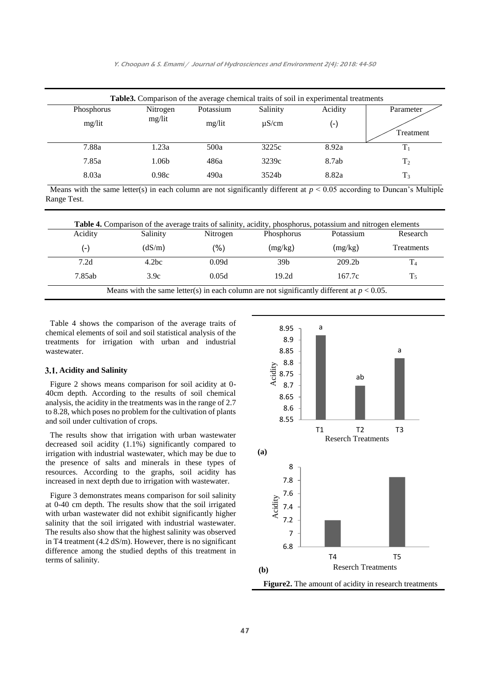|            | Table 3. Comparison of the average chemical traits of soil in experimental treatments |           |            |                    |                |
|------------|---------------------------------------------------------------------------------------|-----------|------------|--------------------|----------------|
| Phosphorus | Nitrogen                                                                              | Potassium | Salinity   | Acidity            | Parameter      |
| mg/lit     | mg/lit                                                                                | mg/lit    | $\mu$ S/cm | $(\textnormal{-})$ | Treatment      |
|            |                                                                                       |           |            |                    |                |
| 7.88a      | 1.23a                                                                                 | 500a      | 3225c      | 8.92a              | T <sub>1</sub> |
| 7.85a      | 1.06b                                                                                 | 486a      | 3239c      | 8.7ab              | T <sub>2</sub> |
| 8.03a      | 0.98c                                                                                 | 490a      | 3524b      | 8.82a              | $T_3$          |

Means with the same letter(s) in each column are not significantly different at  $p < 0.05$  according to Duncan's Multiple Range Test.

| Acidity<br>Salinity |        | Nitrogen | Phosphorus      | Potassium          | Research          |  |
|---------------------|--------|----------|-----------------|--------------------|-------------------|--|
| $(-)$               | (dS/m) | (%)      | (mg/kg)         | (mg/kg)            | <b>Treatments</b> |  |
| 7.2d                | 4.2bc  | 0.09d    | 39 <sub>b</sub> | 209.2 <sub>b</sub> | $\rm T_4$         |  |
| 7.85ab              | 3.9c   | 0.05d    | 19.2d           | 167.7c             | $T_5$             |  |

Table 4 shows the comparison of the average traits of chemical elements of soil and soil statistical analysis of the treatments for irrigation with urban and industrial wastewater.

#### **Acidity and Salinity**

Figure 2 shows means comparison for soil acidity at 0- 40cm depth. According to the results of soil chemical analysis, the acidity in the treatments was in the range of 2.7 to 8.28, which poses no problem for the cultivation of plants and soil under cultivation of crops.

The results show that irrigation with urban wastewater decreased soil acidity (1.1%) significantly compared to irrigation with industrial wastewater, which may be due to the presence of salts and minerals in these types of resources. According to the graphs, soil acidity has increased in next depth due to irrigation with wastewater.

Figure 3 demonstrates means comparison for soil salinity at 0-40 cm depth. The results show that the soil irrigated with urban wastewater did not exhibit significantly higher salinity that the soil irrigated with industrial wastewater. The results also show that the highest salinity was observed in T4 treatment (4.2 dS/m). However, there is no significant difference among the studied depths of this treatment in terms of salinity.

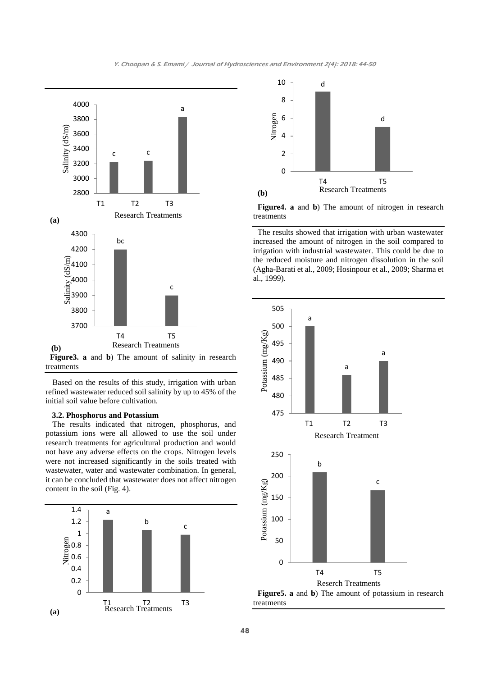

Based on the results of this study, irrigation with urban refined wastewater reduced soil salinity by up to 45% of the initial soil value before cultivation.

#### **3.2. Phosphorus and Potassium**

The results indicated that nitrogen, phosphorus, and potassium ions were all allowed to use the soil under research treatments for agricultural production and would not have any adverse effects on the crops. Nitrogen levels were not increased significantly in the soils treated with wastewater, water and wastewater combination. In general, it can be concluded that wastewater does not affect nitrogen content in the soil (Fig. 4).





**Figure4. a** and **b**) The amount of nitrogen in research treatments

The results showed that irrigation with urban wastewater increased the amount of nitrogen in the soil compared to irrigation with industrial wastewater. This could be due to the reduced moisture and nitrogen dissolution in the soil (Agha-Barati et al., 2009; Hosinpour et al., 2009; Sharma et al., 1999).

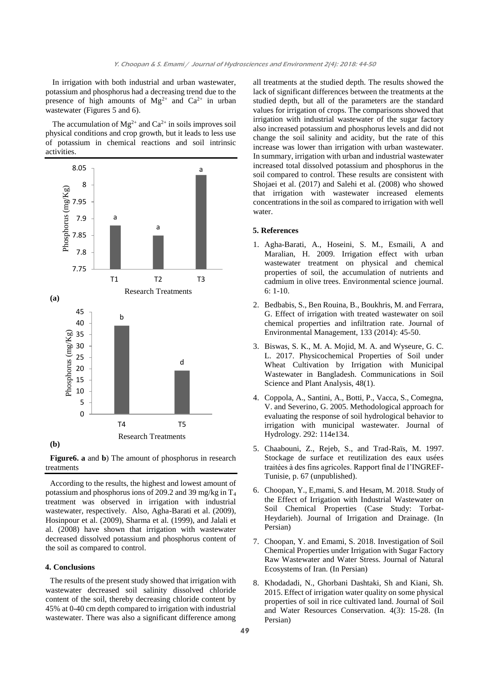In irrigation with both industrial and urban wastewater, potassium and phosphorus had a decreasing trend due to the presence of high amounts of  $Mg^{2+}$  and  $Ca^{2+}$  in urban wastewater (Figures 5 and 6).

The accumulation of  $Mg^{2+}$  and  $Ca^{2+}$  in soils improves soil physical conditions and crop growth, but it leads to less use of potassium in chemical reactions and soil intrinsic activities.





According to the results, the highest and lowest amount of potassium and phosphorus ions of 209.2 and 39 mg/kg in T<sup>4</sup> treatment was observed in irrigation with industrial wastewater, respectively. Also, Agha-Barati et al. (2009), Hosinpour et al. (2009), Sharma et al. (1999), and Jalali et al. (2008) have shown that irrigation with wastewater decreased dissolved potassium and phosphorus content of the soil as compared to control.

## **4. Conclusions**

The results of the present study showed that irrigation with wastewater decreased soil salinity dissolved chloride content of the soil, thereby decreasing chloride content by 45% at 0-40 cm depth compared to irrigation with industrial wastewater. There was also a significant difference among

all treatments at the studied depth. The results showed the lack of significant differences between the treatments at the studied depth, but all of the parameters are the standard values for irrigation of crops. The comparisons showed that irrigation with industrial wastewater of the sugar factory also increased potassium and phosphorus levels and did not change the soil salinity and acidity, but the rate of this increase was lower than irrigation with urban wastewater. In summary, irrigation with urban and industrial wastewater increased total dissolved potassium and phosphorus in the soil compared to control. These results are consistent with Shojaei et al. (2017) and Salehi et al. (2008) who showed that irrigation with wastewater increased elements concentrations in the soil as compared to irrigation with well water.

#### **5. References**

- 1. Agha-Barati, A., Hoseini, S. M., Esmaili, A and Maralian, H. 2009. Irrigation effect with urban wastewater treatment on physical and chemical properties of soil, the accumulation of nutrients and cadmium in olive trees. Environmental science journal. 6: 1-10.
- 2. Bedbabis, S., Ben Rouina, B., Boukhris, M. and Ferrara, G. Effect of irrigation with treated wastewater on soil chemical properties and infiltration rate. Journal of Environmental Management, 133 (2014): 45-50.
- 3. Biswas, S. K., M. A. Mojid, M. A. and Wyseure, G. C. L. 2017. Physicochemical Properties of Soil under Wheat Cultivation by Irrigation with Municipal Wastewater in Bangladesh. Communications in Soil Science and Plant Analysis, 48(1).
- 4. Coppola, A., Santini, A., Botti, P., Vacca, S., Comegna, V. and Severino, G. 2005. Methodological approach for evaluating the response of soil hydrological behavior to irrigation with municipal wastewater. Journal of Hydrology. 292: 114e134.
- 5. Chaabouni, Z., Rejeb, S., and Trad-Raïs, M. 1997. Stockage de surface et reutilization des eaux usées traitées à des fins agricoles. Rapport final de l'INGREF-Tunisie, p. 67 (unpublished).
- 6. Choopan, Y., E,mami, S. and Hesam, M. 2018. Study of the Effect of Irrigation with Industrial Wastewater on Soil Chemical Properties (Case Study: Torbat-Heydarieh). Journal of Irrigation and Drainage. (In Persian)
- 7. Choopan, Y. and Emami, S. 2018. Investigation of Soil Chemical Properties under Irrigation with Sugar Factory Raw Wastewater and Water Stress. Journal of Natural Ecosystems of Iran. (In Persian)
- 8. Khodadadi, N., Ghorbani Dashtaki, Sh and Kiani, Sh. 2015. Effect of irrigation water quality on some physical properties of soil in rice cultivated land. Journal of Soil and Water Resources Conservation. 4(3): 15-28. (In Persian)